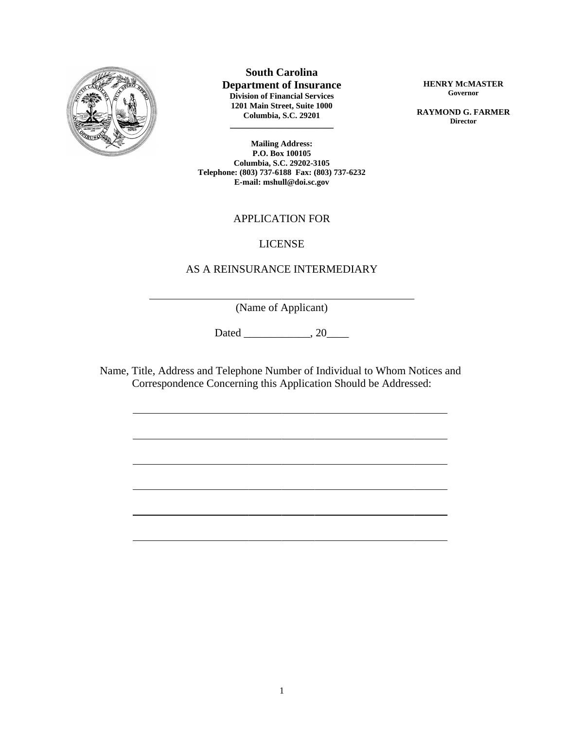

 $\overline{a}$ 

 $\overline{a}$ 

 $\overline{a}$ 

 $\overline{a}$ 

 $\overline{a}$ 

 $\overline{a}$ 

 $\overline{a}$ 

**South Carolina**

**Department of Insurance Division of Financial Services 1201 Main Street, Suite 1000 Columbia, S.C. 29201**

**\_\_\_\_\_\_\_\_\_\_\_\_\_\_\_\_\_\_\_\_\_\_\_\_\_**

**HENRY MCMASTER Governor**

**RAYMOND G. FARMER Director**

**Mailing Address: P.O. Box 100105 Columbia, S.C. 29202-3105 Telephone: (803) 737-6188 Fax: (803) 737-6232 E-mail: mshull@doi.sc.gov**

## APPLICATION FOR

#### LICENSE

#### AS A REINSURANCE INTERMEDIARY

(Name of Applicant)

Dated \_\_\_\_\_\_\_\_\_\_\_\_, 20\_\_\_\_\_\_

Name, Title, Address and Telephone Number of Individual to Whom Notices and Correspondence Concerning this Application Should be Addressed: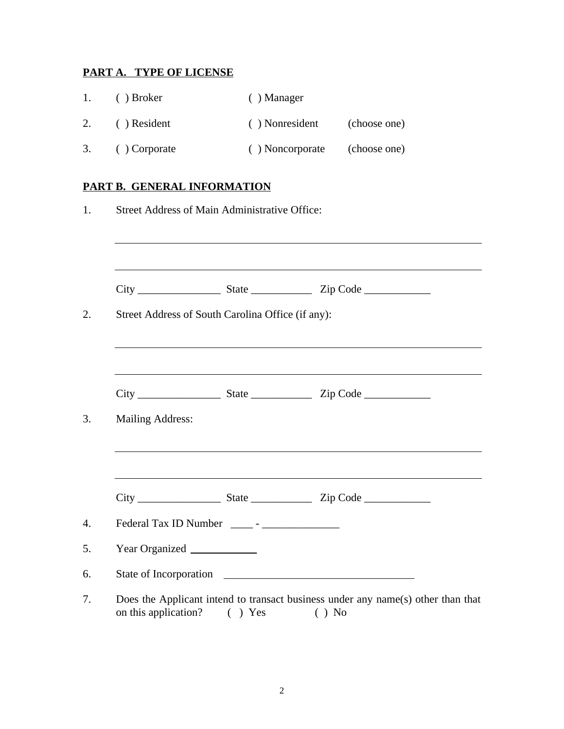# **PART A. TYPE OF LICENSE**

| $\mathbf{1}$ . | ( ) Broker    | $( )$ Manager   |              |
|----------------|---------------|-----------------|--------------|
| 2.             | ( ) Resident  | () Nonresident  | (choose one) |
| 3.             | ( ) Corporate | () Noncorporate | (choose one) |

# **PART B. GENERAL INFORMATION**

|                         | Street Address of South Carolina Office (if any): |                                                                                  |
|-------------------------|---------------------------------------------------|----------------------------------------------------------------------------------|
|                         |                                                   |                                                                                  |
| <b>Mailing Address:</b> |                                                   | ,我们也不能在这里的时候,我们也不能在这里的时候,我们也不能会在这里的时候,我们也不能会在这里的时候,我们也不能会在这里的时候,我们也不能会在这里的时候,我们也 |
|                         |                                                   | ,我们也不会有什么。""我们的人,我们也不会有什么?""我们的人,我们也不会有什么?""我们的人,我们也不会有什么?""我们的人,我们也不会有什么?""我们的人 |
|                         |                                                   |                                                                                  |
|                         | Year Organized                                    |                                                                                  |
|                         |                                                   | State of Incorporation                                                           |
|                         |                                                   | Does the Applicant intend to transact business under any name(s) other than that |

on this application? ( ) Yes ( ) No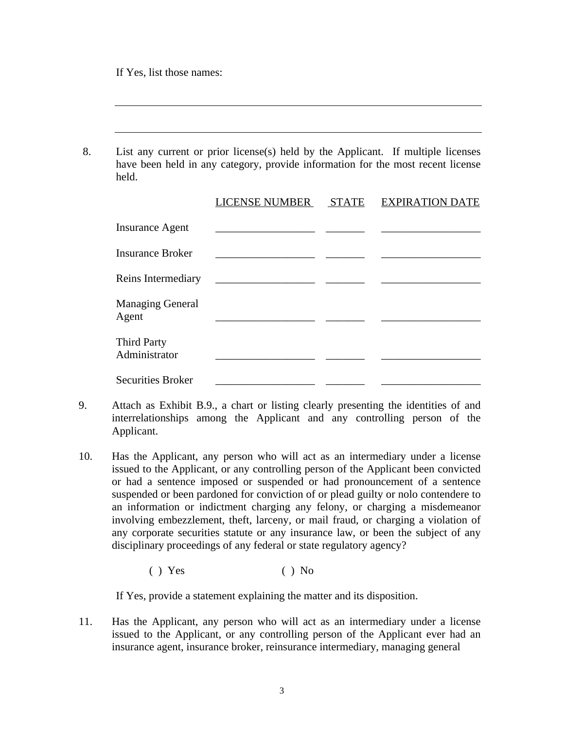If Yes, list those names:

8. List any current or prior license(s) held by the Applicant. If multiple licenses have been held in any category, provide information for the most recent license held.

|                                     | <b>LICENSE NUMBER</b>          | <b>STATE</b> | <b>EXPIRATION DATE</b> |
|-------------------------------------|--------------------------------|--------------|------------------------|
| <b>Insurance Agent</b>              |                                |              |                        |
| <b>Insurance Broker</b>             |                                |              |                        |
| Reins Intermediary                  | <u> 1990 - Jan James James</u> |              |                        |
| <b>Managing General</b><br>Agent    |                                |              |                        |
| <b>Third Party</b><br>Administrator |                                |              |                        |
| <b>Securities Broker</b>            |                                |              |                        |

- 9. Attach as Exhibit B.9., a chart or listing clearly presenting the identities of and interrelationships among the Applicant and any controlling person of the Applicant.
- 10. Has the Applicant, any person who will act as an intermediary under a license issued to the Applicant, or any controlling person of the Applicant been convicted or had a sentence imposed or suspended or had pronouncement of a sentence suspended or been pardoned for conviction of or plead guilty or nolo contendere to an information or indictment charging any felony, or charging a misdemeanor involving embezzlement, theft, larceny, or mail fraud, or charging a violation of any corporate securities statute or any insurance law, or been the subject of any disciplinary proceedings of any federal or state regulatory agency?

 $( )$  Yes  $( )$  No

If Yes, provide a statement explaining the matter and its disposition.

11. Has the Applicant, any person who will act as an intermediary under a license issued to the Applicant, or any controlling person of the Applicant ever had an insurance agent, insurance broker, reinsurance intermediary, managing general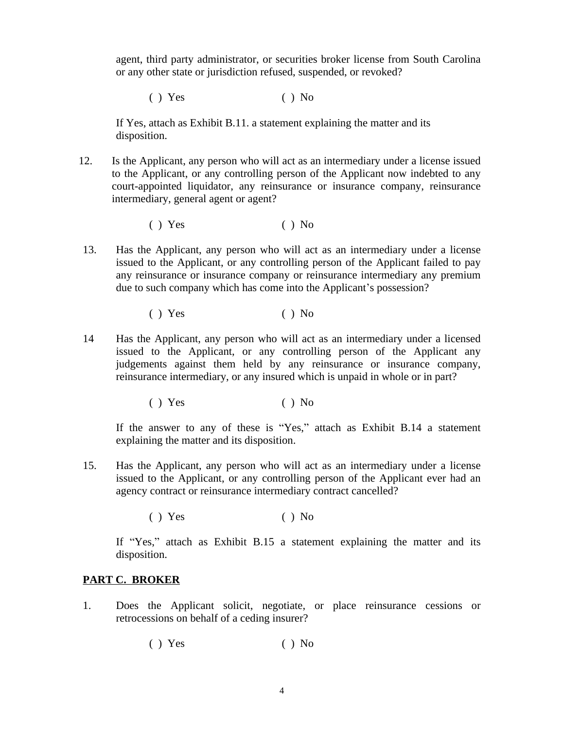agent, third party administrator, or securities broker license from South Carolina or any other state or jurisdiction refused, suspended, or revoked?

 $( )$  Yes  $( )$  No

If Yes, attach as Exhibit B.11. a statement explaining the matter and its disposition.

12. Is the Applicant, any person who will act as an intermediary under a license issued to the Applicant, or any controlling person of the Applicant now indebted to any court-appointed liquidator, any reinsurance or insurance company, reinsurance intermediary, general agent or agent?

 $( )$  Yes  $( )$  No

- 13. Has the Applicant, any person who will act as an intermediary under a license issued to the Applicant, or any controlling person of the Applicant failed to pay any reinsurance or insurance company or reinsurance intermediary any premium due to such company which has come into the Applicant's possession?
	- $( )$  Yes  $( )$  No
- 14 Has the Applicant, any person who will act as an intermediary under a licensed issued to the Applicant, or any controlling person of the Applicant any judgements against them held by any reinsurance or insurance company, reinsurance intermediary, or any insured which is unpaid in whole or in part?

 $( )$  Yes  $( )$  No

If the answer to any of these is "Yes," attach as Exhibit B.14 a statement explaining the matter and its disposition.

15. Has the Applicant, any person who will act as an intermediary under a license issued to the Applicant, or any controlling person of the Applicant ever had an agency contract or reinsurance intermediary contract cancelled?

 $( )$  Yes  $( )$  No

If "Yes," attach as Exhibit B.15 a statement explaining the matter and its disposition.

#### **PART C. BROKER**

1. Does the Applicant solicit, negotiate, or place reinsurance cessions or retrocessions on behalf of a ceding insurer?

 $( )$  Yes  $( )$  No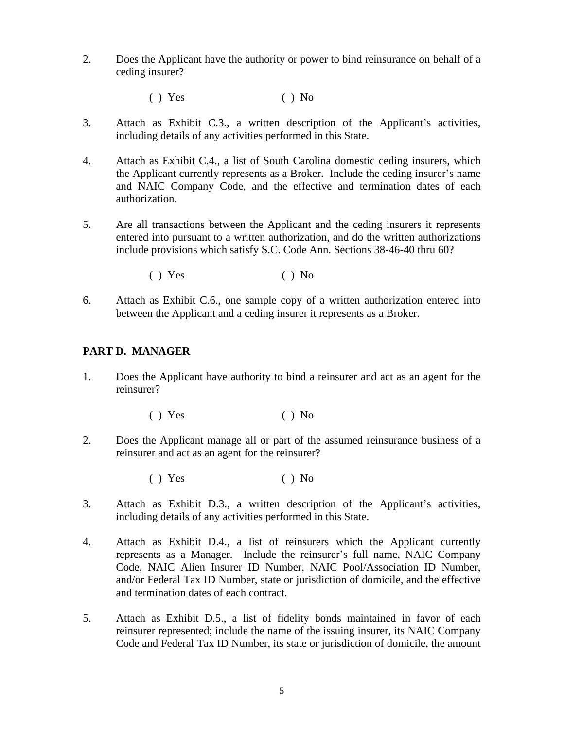- 2. Does the Applicant have the authority or power to bind reinsurance on behalf of a ceding insurer?
	- $( )$  Yes  $( )$  No
- 3. Attach as Exhibit C.3., a written description of the Applicant's activities, including details of any activities performed in this State.
- 4. Attach as Exhibit C.4., a list of South Carolina domestic ceding insurers, which the Applicant currently represents as a Broker. Include the ceding insurer's name and NAIC Company Code, and the effective and termination dates of each authorization.
- 5. Are all transactions between the Applicant and the ceding insurers it represents entered into pursuant to a written authorization, and do the written authorizations include provisions which satisfy S.C. Code Ann. Sections 38-46-40 thru 60?
	- $( )$  Yes  $( )$  No
- 6. Attach as Exhibit C.6., one sample copy of a written authorization entered into between the Applicant and a ceding insurer it represents as a Broker.

#### **PART D. MANAGER**

- 1. Does the Applicant have authority to bind a reinsurer and act as an agent for the reinsurer?
	- $( )$  Yes  $( )$  No
- 2. Does the Applicant manage all or part of the assumed reinsurance business of a reinsurer and act as an agent for the reinsurer?
	- $( )$  Yes  $( )$  No
- 3. Attach as Exhibit D.3., a written description of the Applicant's activities, including details of any activities performed in this State.
- 4. Attach as Exhibit D.4., a list of reinsurers which the Applicant currently represents as a Manager. Include the reinsurer's full name, NAIC Company Code, NAIC Alien Insurer ID Number, NAIC Pool/Association ID Number, and/or Federal Tax ID Number, state or jurisdiction of domicile, and the effective and termination dates of each contract.
- 5. Attach as Exhibit D.5., a list of fidelity bonds maintained in favor of each reinsurer represented; include the name of the issuing insurer, its NAIC Company Code and Federal Tax ID Number, its state or jurisdiction of domicile, the amount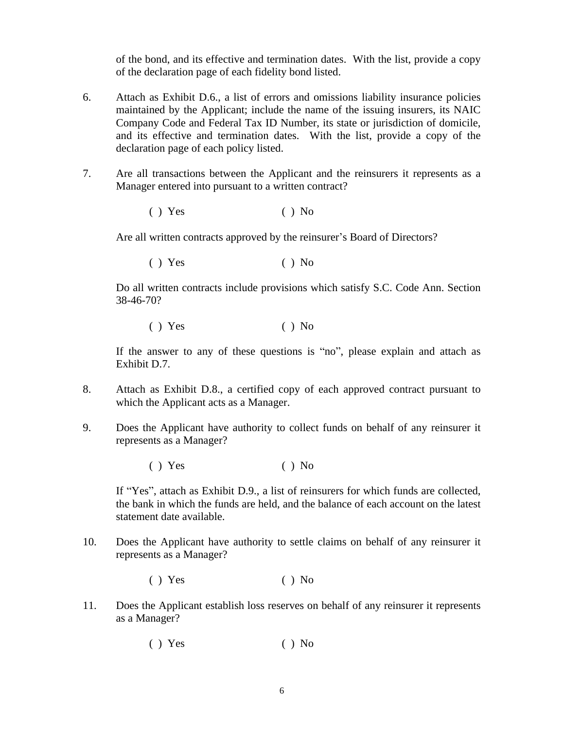of the bond, and its effective and termination dates. With the list, provide a copy of the declaration page of each fidelity bond listed.

- 6. Attach as Exhibit D.6., a list of errors and omissions liability insurance policies maintained by the Applicant; include the name of the issuing insurers, its NAIC Company Code and Federal Tax ID Number, its state or jurisdiction of domicile, and its effective and termination dates. With the list, provide a copy of the declaration page of each policy listed.
- 7. Are all transactions between the Applicant and the reinsurers it represents as a Manager entered into pursuant to a written contract?
	- $( )$  Yes  $( )$  No

Are all written contracts approved by the reinsurer's Board of Directors?

 $( )$  Yes  $( )$  No

Do all written contracts include provisions which satisfy S.C. Code Ann. Section 38-46-70?

 $( )$  Yes  $( )$  No

If the answer to any of these questions is "no", please explain and attach as Exhibit D.7.

- 8. Attach as Exhibit D.8., a certified copy of each approved contract pursuant to which the Applicant acts as a Manager.
- 9. Does the Applicant have authority to collect funds on behalf of any reinsurer it represents as a Manager?
	- $( )$  Yes  $( )$  No

If "Yes", attach as Exhibit D.9., a list of reinsurers for which funds are collected, the bank in which the funds are held, and the balance of each account on the latest statement date available.

- 10. Does the Applicant have authority to settle claims on behalf of any reinsurer it represents as a Manager?
	- $( )$  Yes  $( )$  No
- 11. Does the Applicant establish loss reserves on behalf of any reinsurer it represents as a Manager?
	- $( )$  Yes  $( )$  No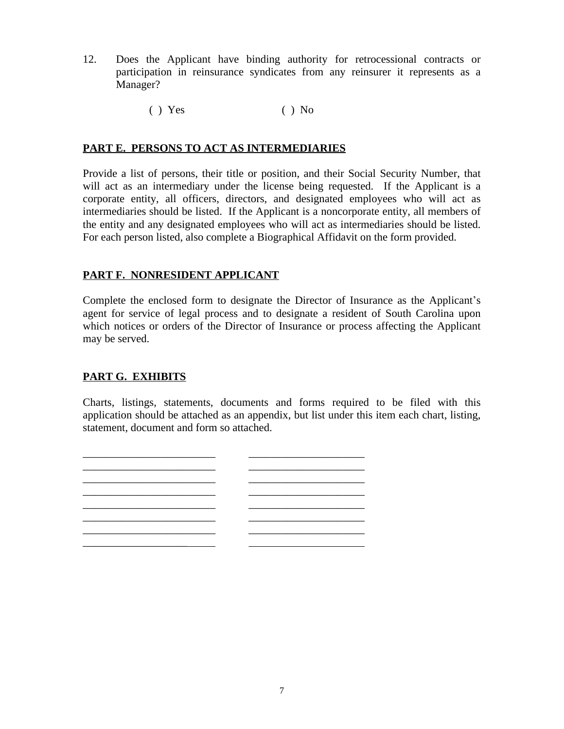- 12. Does the Applicant have binding authority for retrocessional contracts or participation in reinsurance syndicates from any reinsurer it represents as a Manager?
	- $( )$  Yes  $( )$  No

#### **PART E. PERSONS TO ACT AS INTERMEDIARIES**

Provide a list of persons, their title or position, and their Social Security Number, that will act as an intermediary under the license being requested. If the Applicant is a corporate entity, all officers, directors, and designated employees who will act as intermediaries should be listed. If the Applicant is a noncorporate entity, all members of the entity and any designated employees who will act as intermediaries should be listed. For each person listed, also complete a Biographical Affidavit on the form provided.

## **PART F. NONRESIDENT APPLICANT**

Complete the enclosed form to designate the Director of Insurance as the Applicant's agent for service of legal process and to designate a resident of South Carolina upon which notices or orders of the Director of Insurance or process affecting the Applicant may be served.

## **PART G. EXHIBITS**

Charts, listings, statements, documents and forms required to be filed with this application should be attached as an appendix, but list under this item each chart, listing, statement, document and form so attached.